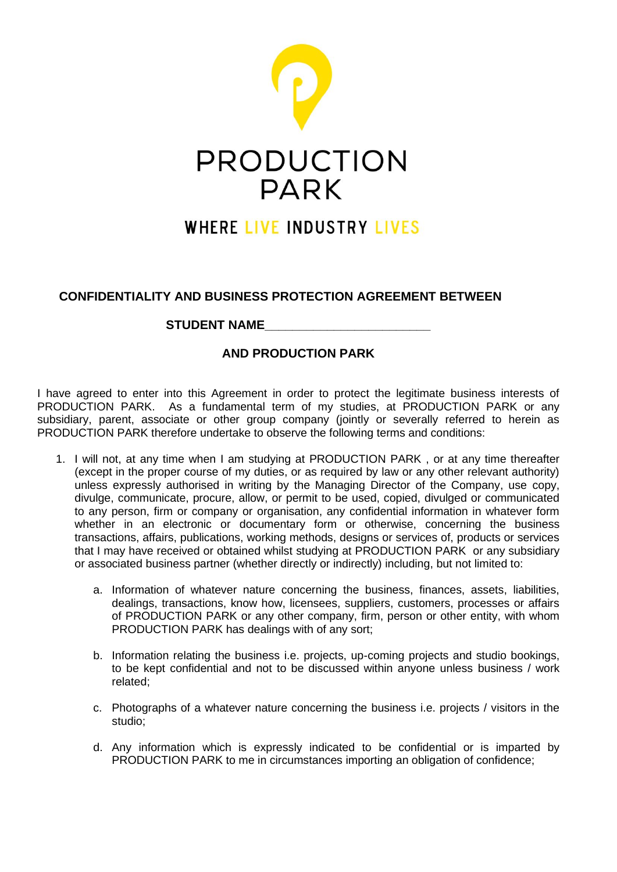

## **WHERE LIVE INDUSTRY LIVES**

## **CONFIDENTIALITY AND BUSINESS PROTECTION AGREEMENT BETWEEN**

## **STUDENT NAME\_\_\_\_\_\_\_\_\_\_\_\_\_\_\_\_\_\_\_\_\_\_\_\_**

## **AND PRODUCTION PARK**

I have agreed to enter into this Agreement in order to protect the legitimate business interests of PRODUCTION PARK. As a fundamental term of my studies, at PRODUCTION PARK or any subsidiary, parent, associate or other group company (jointly or severally referred to herein as PRODUCTION PARK therefore undertake to observe the following terms and conditions:

- 1. I will not, at any time when I am studying at PRODUCTION PARK , or at any time thereafter (except in the proper course of my duties, or as required by law or any other relevant authority) unless expressly authorised in writing by the Managing Director of the Company, use copy, divulge, communicate, procure, allow, or permit to be used, copied, divulged or communicated to any person, firm or company or organisation, any confidential information in whatever form whether in an electronic or documentary form or otherwise, concerning the business transactions, affairs, publications, working methods, designs or services of, products or services that I may have received or obtained whilst studying at PRODUCTION PARK or any subsidiary or associated business partner (whether directly or indirectly) including, but not limited to:
	- a. Information of whatever nature concerning the business, finances, assets, liabilities, dealings, transactions, know how, licensees, suppliers, customers, processes or affairs of PRODUCTION PARK or any other company, firm, person or other entity, with whom PRODUCTION PARK has dealings with of any sort;
	- b. Information relating the business i.e. projects, up-coming projects and studio bookings, to be kept confidential and not to be discussed within anyone unless business / work related;
	- c. Photographs of a whatever nature concerning the business i.e. projects / visitors in the studio;
	- d. Any information which is expressly indicated to be confidential or is imparted by PRODUCTION PARK to me in circumstances importing an obligation of confidence;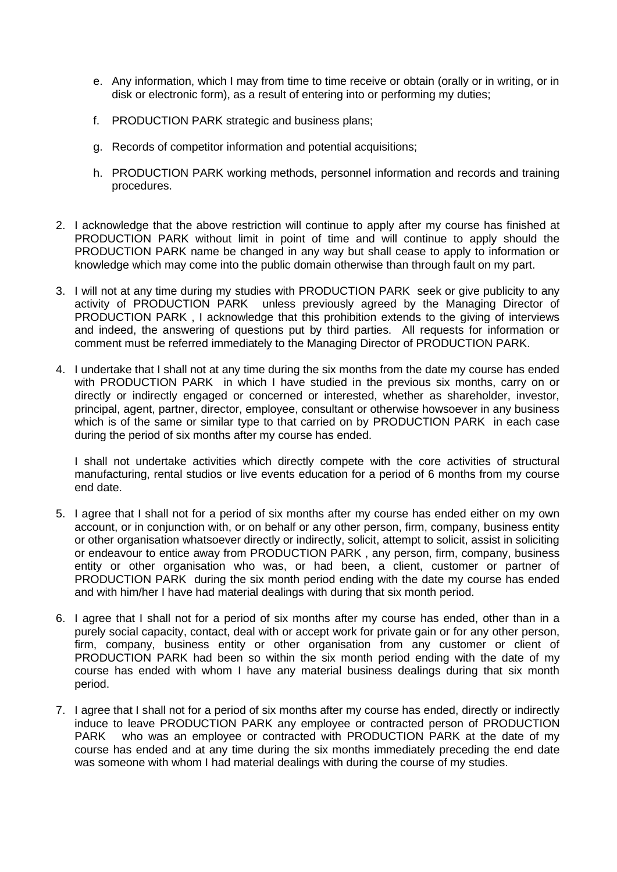- e. Any information, which I may from time to time receive or obtain (orally or in writing, or in disk or electronic form), as a result of entering into or performing my duties;
- f. PRODUCTION PARK strategic and business plans;
- g. Records of competitor information and potential acquisitions;
- h. PRODUCTION PARK working methods, personnel information and records and training procedures.
- 2. I acknowledge that the above restriction will continue to apply after my course has finished at PRODUCTION PARK without limit in point of time and will continue to apply should the PRODUCTION PARK name be changed in any way but shall cease to apply to information or knowledge which may come into the public domain otherwise than through fault on my part.
- 3. I will not at any time during my studies with PRODUCTION PARK seek or give publicity to any activity of PRODUCTION PARK unless previously agreed by the Managing Director of PRODUCTION PARK , I acknowledge that this prohibition extends to the giving of interviews and indeed, the answering of questions put by third parties. All requests for information or comment must be referred immediately to the Managing Director of PRODUCTION PARK.
- 4. I undertake that I shall not at any time during the six months from the date my course has ended with PRODUCTION PARK in which I have studied in the previous six months, carry on or directly or indirectly engaged or concerned or interested, whether as shareholder, investor, principal, agent, partner, director, employee, consultant or otherwise howsoever in any business which is of the same or similar type to that carried on by PRODUCTION PARK in each case during the period of six months after my course has ended.

I shall not undertake activities which directly compete with the core activities of structural manufacturing, rental studios or live events education for a period of 6 months from my course end date.

- 5. I agree that I shall not for a period of six months after my course has ended either on my own account, or in conjunction with, or on behalf or any other person, firm, company, business entity or other organisation whatsoever directly or indirectly, solicit, attempt to solicit, assist in soliciting or endeavour to entice away from PRODUCTION PARK , any person, firm, company, business entity or other organisation who was, or had been, a client, customer or partner of PRODUCTION PARK during the six month period ending with the date my course has ended and with him/her I have had material dealings with during that six month period.
- 6. I agree that I shall not for a period of six months after my course has ended, other than in a purely social capacity, contact, deal with or accept work for private gain or for any other person, firm, company, business entity or other organisation from any customer or client of PRODUCTION PARK had been so within the six month period ending with the date of my course has ended with whom I have any material business dealings during that six month period.
- 7. I agree that I shall not for a period of six months after my course has ended, directly or indirectly induce to leave PRODUCTION PARK any employee or contracted person of PRODUCTION PARK who was an employee or contracted with PRODUCTION PARK at the date of my course has ended and at any time during the six months immediately preceding the end date was someone with whom I had material dealings with during the course of my studies.